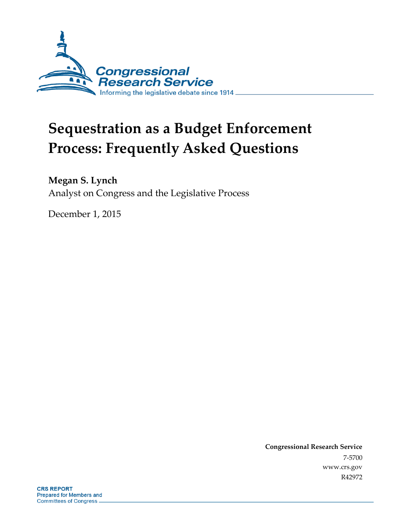

# **Sequestration as a Budget Enforcement Process: Frequently Asked Questions**

#### **Megan S. Lynch**

Analyst on Congress and the Legislative Process

December 1, 2015

**Congressional Research Service** 7-5700 www.crs.gov R42972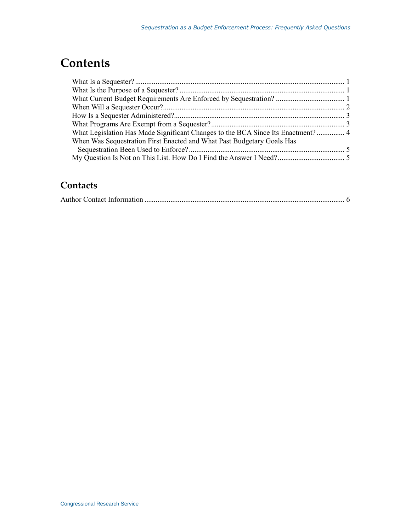# **Contents**

| What Legislation Has Made Significant Changes to the BCA Since Its Enactment? 4 |  |
|---------------------------------------------------------------------------------|--|
| When Was Sequestration First Enacted and What Past Budgetary Goals Has          |  |
|                                                                                 |  |
|                                                                                 |  |

#### **Contacts**

|--|--|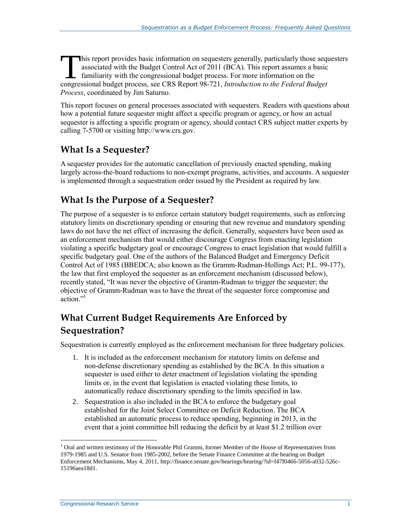his report provides basic information on sequesters generally, particularly those sequesters associated with the Budget Control Act of 2011 (BCA). This report assumes a basic familiarity with the congressional budget process. For more information on the This report provides basic information on sequesters generally, particularly those seques<br>sociated with the Budget Control Act of 2011 (BCA). This report assumes a basic<br>familiarity with the congressional budget process. F *Process*, coordinated by Jim Saturno.

This report focuses on general processes associated with sequesters. Readers with questions about how a potential future sequester might affect a specific program or agency, or how an actual sequester is affecting a specific program or agency, should contact CRS subject matter experts by calling 7-5700 or visiting http://www.crs.gov.

#### **What Is a Sequester?**

A sequester provides for the automatic cancellation of previously enacted spending, making largely across-the-board reductions to non-exempt programs, activities, and accounts. A sequester is implemented through a sequestration order issued by the President as required by law.

#### **What Is the Purpose of a Sequester?**

The purpose of a sequester is to enforce certain statutory budget requirements, such as enforcing statutory limits on discretionary spending or ensuring that new revenue and mandatory spending laws do not have the net effect of increasing the deficit. Generally, sequesters have been used as an enforcement mechanism that would either discourage Congress from enacting legislation violating a specific budgetary goal or encourage Congress to enact legislation that would fulfill a specific budgetary goal. One of the authors of the Balanced Budget and Emergency Deficit Control Act of 1985 (BBEDCA; also known as the Gramm-Rudman-Hollings Act; P.L. 99-177), the law that first employed the sequester as an enforcement mechanism (discussed below), recently stated, "It was never the objective of Gramm-Rudman to trigger the sequester; the objective of Gramm-Rudman was to have the threat of the sequester force compromise and action."<sup>1</sup>

# **What Current Budget Requirements Are Enforced by Sequestration?**

Sequestration is currently employed as the enforcement mechanism for three budgetary policies.

- 1. It is included as the enforcement mechanism for statutory limits on defense and non-defense discretionary spending as established by the BCA. In this situation a sequester is used either to deter enactment of legislation violating the spending limits or, in the event that legislation is enacted violating these limits, to automatically reduce discretionary spending to the limits specified in law.
- 2. Sequestration is also included in the BCA to enforce the budgetary goal established for the Joint Select Committee on Deficit Reduction. The BCA established an automatic process to reduce spending, beginning in 2013, in the event that a joint committee bill reducing the deficit by at least \$1.2 trillion over

 $\overline{a}$ 

<sup>&</sup>lt;sup>1</sup> Oral and written testimony of the Honorable Phil Gramm, former Member of the House of Representatives from 1979-1985 and U.S. Senator from 1985-2002, before the Senate Finance Committee at the hearing on Budget Enforcement Mechanisms, May 4, 2011, http://finance.senate.gov/hearings/hearing/?id=f47f0466-5056-a032-526c-15196aea18d1.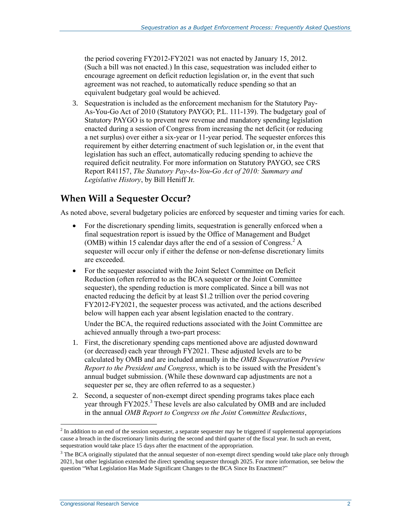the period covering FY2012-FY2021 was not enacted by January 15, 2012. (Such a bill was not enacted.) In this case, sequestration was included either to encourage agreement on deficit reduction legislation or, in the event that such agreement was not reached, to automatically reduce spending so that an equivalent budgetary goal would be achieved.

3. Sequestration is included as the enforcement mechanism for the Statutory Pay-As-You-Go Act of 2010 (Statutory PAYGO; P.L. 111-139). The budgetary goal of Statutory PAYGO is to prevent new revenue and mandatory spending legislation enacted during a session of Congress from increasing the net deficit (or reducing a net surplus) over either a six-year or 11-year period. The sequester enforces this requirement by either deterring enactment of such legislation or, in the event that legislation has such an effect, automatically reducing spending to achieve the required deficit neutrality. For more information on Statutory PAYGO, see CRS Report R41157, *The Statutory Pay-As-You-Go Act of 2010: Summary and Legislative History*, by Bill Heniff Jr.

#### **When Will a Sequester Occur?**

As noted above, several budgetary policies are enforced by sequester and timing varies for each.

- For the discretionary spending limits, sequestration is generally enforced when a final sequestration report is issued by the Office of Management and Budget (OMB) within 15 calendar days after the end of a session of Congress. $<sup>2</sup>$  A</sup> sequester will occur only if either the defense or non-defense discretionary limits are exceeded.
- For the sequester associated with the Joint Select Committee on Deficit Reduction (often referred to as the BCA sequester or the Joint Committee sequester), the spending reduction is more complicated. Since a bill was not enacted reducing the deficit by at least \$1.2 trillion over the period covering FY2012-FY2021, the sequester process was activated, and the actions described below will happen each year absent legislation enacted to the contrary. Under the BCA, the required reductions associated with the Joint Committee are achieved annually through a two-part process:
- 1. First, the discretionary spending caps mentioned above are adjusted downward (or decreased) each year through FY2021. These adjusted levels are to be calculated by OMB and are included annually in the *OMB Sequestration Preview Report to the President and Congress*, which is to be issued with the President's annual budget submission. (While these downward cap adjustments are not a sequester per se, they are often referred to as a sequester.)
- 2. Second, a sequester of non-exempt direct spending programs takes place each year through FY2025.<sup>3</sup> These levels are also calculated by OMB and are included in the annual *OMB Report to Congress on the Joint Committee Reductions*,

<sup>&</sup>lt;sup>2</sup> In addition to an end of the session sequester, a separate sequester may be triggered if supplemental appropriations cause a breach in the discretionary limits during the second and third quarter of the fiscal year. In such an event, sequestration would take place 15 days after the enactment of the appropriation.

<sup>&</sup>lt;sup>3</sup> The BCA originally stipulated that the annual sequester of non-exempt direct spending would take place only through 2021, but other legislation extended the direct spending sequester through 2025. For more information, see below the question "What Legislation Has Made Significant Changes to the BCA Since Its Enactment?"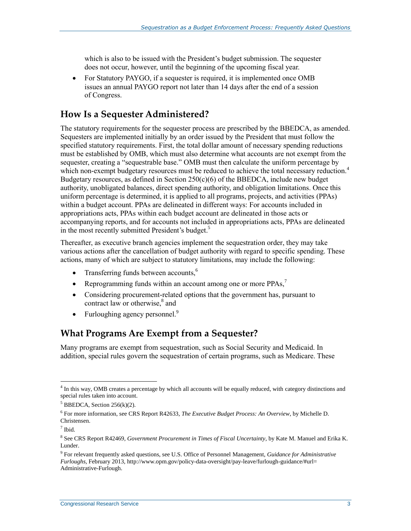which is also to be issued with the President's budget submission. The sequester does not occur, however, until the beginning of the upcoming fiscal year.

• For Statutory PAYGO, if a sequester is required, it is implemented once OMB issues an annual PAYGO report not later than 14 days after the end of a session of Congress.

#### **How Is a Sequester Administered?**

The statutory requirements for the sequester process are prescribed by the BBEDCA, as amended. Sequesters are implemented initially by an order issued by the President that must follow the specified statutory requirements. First, the total dollar amount of necessary spending reductions must be established by OMB, which must also determine what accounts are not exempt from the sequester, creating a "sequestrable base." OMB must then calculate the uniform percentage by which non-exempt budgetary resources must be reduced to achieve the total necessary reduction.<sup>4</sup> Budgetary resources, as defined in Section  $250(c)(6)$  of the BBEDCA, include new budget authority, unobligated balances, direct spending authority, and obligation limitations. Once this uniform percentage is determined, it is applied to all programs, projects, and activities (PPAs) within a budget account. PPAs are delineated in different ways: For accounts included in appropriations acts, PPAs within each budget account are delineated in those acts or accompanying reports, and for accounts not included in appropriations acts, PPAs are delineated in the most recently submitted President's budget.<sup>5</sup>

Thereafter, as executive branch agencies implement the sequestration order, they may take various actions after the cancellation of budget authority with regard to specific spending. These actions, many of which are subject to statutory limitations, may include the following:

- Transferring funds between accounts, $<sup>6</sup>$ </sup>
- Reprogramming funds within an account among one or more  $PPAs$ ,<sup>7</sup>
- Considering procurement-related options that the government has, pursuant to contract law or otherwise,<sup>8</sup> and
- Furloughing agency personnel. $9$

#### **What Programs Are Exempt from a Sequester?**

Many programs are exempt from sequestration, such as Social Security and Medicaid. In addition, special rules govern the sequestration of certain programs, such as Medicare. These

 $\overline{a}$ 

<sup>&</sup>lt;sup>4</sup> In this way, OMB creates a percentage by which all accounts will be equally reduced, with category distinctions and special rules taken into account.

 $5$  BBEDCA, Section 256(k)(2).

<sup>6</sup> For more information, see CRS Report R42633, *The Executive Budget Process: An Overview*, by Michelle D. Christensen.

<sup>7</sup> Ibid.

<sup>8</sup> See CRS Report R42469, *Government Procurement in Times of Fiscal Uncertainty*, by Kate M. Manuel and Erika K. Lunder.

<sup>9</sup> For relevant frequently asked questions, see U.S. Office of Personnel Management, *Guidance for Administrative Furloughs*, February 2013, http://www.opm.gov/policy-data-oversight/pay-leave/furlough-guidance/#url= Administrative-Furlough.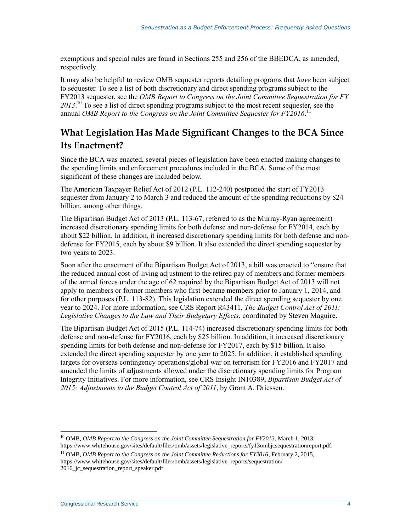exemptions and special rules are found in Sections 255 and 256 of the BBEDCA, as amended, respectively.

It may also be helpful to review OMB sequester reports detailing programs that *have* been subject to sequester. To see a list of both discretionary and direct spending programs subject to the FY2013 sequester, see the *OMB Report to Congress on the Joint Committee Sequestration for FY 2013*. <sup>10</sup> To see a list of direct spending programs subject to the most recent sequester, see the annual *OMB Report to the Congress on the Joint Committee Sequester for FY2016*. 11

#### **What Legislation Has Made Significant Changes to the BCA Since Its Enactment?**

Since the BCA was enacted, several pieces of legislation have been enacted making changes to the spending limits and enforcement procedures included in the BCA. Some of the most significant of these changes are included below.

The American Taxpayer Relief Act of 2012 (P.L. 112-240) postponed the start of FY2013 sequester from January 2 to March 3 and reduced the amount of the spending reductions by \$24 billion, among other things.

The Bipartisan Budget Act of 2013 (P.L. 113-67, referred to as the Murray-Ryan agreement) increased discretionary spending limits for both defense and non-defense for FY2014, each by about \$22 billion. In addition, it increased discretionary spending limits for both defense and nondefense for FY2015, each by about \$9 billion. It also extended the direct spending sequester by two years to 2023.

Soon after the enactment of the Bipartisan Budget Act of 2013, a bill was enacted to "ensure that the reduced annual cost-of-living adjustment to the retired pay of members and former members of the armed forces under the age of 62 required by the Bipartisan Budget Act of 2013 will not apply to members or former members who first became members prior to January 1, 2014, and for other purposes (P.L. 113-82). This legislation extended the direct spending sequester by one year to 2024. For more information, see CRS Report R43411, *The Budget Control Act of 2011: Legislative Changes to the Law and Their Budgetary Effects*, coordinated by Steven Maguire.

The Bipartisan Budget Act of 2015 (P.L. 114-74) increased discretionary spending limits for both defense and non-defense for FY2016, each by \$25 billion. In addition, it increased discretionary spending limits for both defense and non-defense for FY2017, each by \$15 billion. It also extended the direct spending sequester by one year to 2025. In addition, it established spending targets for overseas contingency operations/global war on terrorism for FY2016 and FY2017 and amended the limits of adjustments allowed under the discretionary spending limits for Program Integrity Initiatives. For more information, see CRS Insight IN10389, *Bipartisan Budget Act of 2015: Adjustments to the Budget Control Act of 2011*, by Grant A. Driessen.

 $\overline{a}$ 

<sup>10</sup> OMB, *OMB Report to the Congress on the Joint Committee Sequestration for FY2013*, March 1, 2013. https://www.whitehouse.gov/sites/default/files/omb/assets/legislative\_reports/fy13ombjcsequestrationreport.pdf.

<sup>&</sup>lt;sup>11</sup> OMB, *OMB Report to the Congress on the Joint Committee Reductions for FY2016*, February 2, 2015, https://www.whitehouse.gov/sites/default/files/omb/assets/legislative\_reports/sequestration/ 2016\_jc\_sequestration\_report\_speaker.pdf.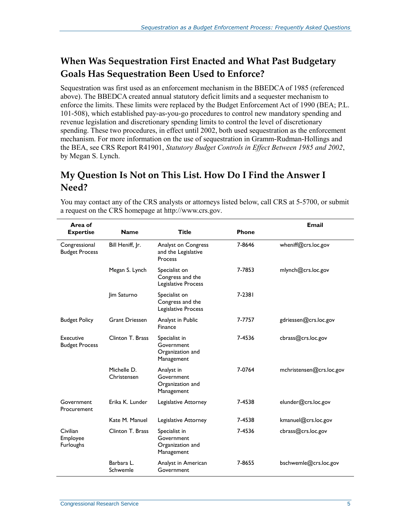### **When Was Sequestration First Enacted and What Past Budgetary Goals Has Sequestration Been Used to Enforce?**

Sequestration was first used as an enforcement mechanism in the BBEDCA of 1985 (referenced above). The BBEDCA created annual statutory deficit limits and a sequester mechanism to enforce the limits. These limits were replaced by the Budget Enforcement Act of 1990 (BEA; P.L. 101-508), which established pay-as-you-go procedures to control new mandatory spending and revenue legislation and discretionary spending limits to control the level of discretionary spending. These two procedures, in effect until 2002, both used sequestration as the enforcement mechanism. For more information on the use of sequestration in Gramm-Rudman-Hollings and the BEA, see CRS Report R41901, *Statutory Budget Controls in Effect Between 1985 and 2002*, by Megan S. Lynch.

#### **My Question Is Not on This List. How Do I Find the Answer I Need?**

| Area of                                  |                            |                                                               |              | <b>Email</b>             |
|------------------------------------------|----------------------------|---------------------------------------------------------------|--------------|--------------------------|
| <b>Expertise</b>                         | <b>Name</b>                | <b>Title</b>                                                  | <b>Phone</b> |                          |
| Congressional<br><b>Budget Process</b>   | Bill Heniff, Jr.           | Analyst on Congress<br>and the Legislative<br>Process         | 7-8646       | wheniff@crs.loc.gov      |
|                                          | Megan S. Lynch             | Specialist on<br>Congress and the<br>Legislative Process      | 7-7853       | mlynch@crs.loc.gov       |
|                                          | Jim Saturno                | Specialist on<br>Congress and the<br>Legislative Process      | 7-2381       |                          |
| <b>Budget Policy</b>                     | <b>Grant Driessen</b>      | Analyst in Public<br>Finance                                  | 7-7757       | gdriessen@crs.loc.gov    |
| Executive<br><b>Budget Process</b>       | Clinton T. Brass           | Specialist in<br>Government<br>Organization and<br>Management | 7-4536       | cbrass@crs.loc.gov       |
|                                          | Michelle D.<br>Christensen | Analyst in<br>Government<br>Organization and<br>Management    | 7-0764       | mchristensen@crs.loc.gov |
| Government<br>Procurement                | Erika K. Lunder            | Legislative Attorney                                          | 7-4538       | elunder@crs.loc.gov      |
|                                          | Kate M. Manuel             | Legislative Attorney                                          | 7-4538       | kmanuel@crs.loc.gov      |
| Civilian<br>Employee<br><b>Furloughs</b> | Clinton T. Brass           | Specialist in<br>Government<br>Organization and<br>Management | 7-4536       | cbrass@crs.loc.gov       |
|                                          | Barbara L.<br>Schwemle     | Analyst in American<br>Government                             | 7-8655       | bschwemle@crs.loc.gov    |

You may contact any of the CRS analysts or attorneys listed below, call CRS at 5-5700, or submit a request on the CRS homepage at http://www.crs.gov.